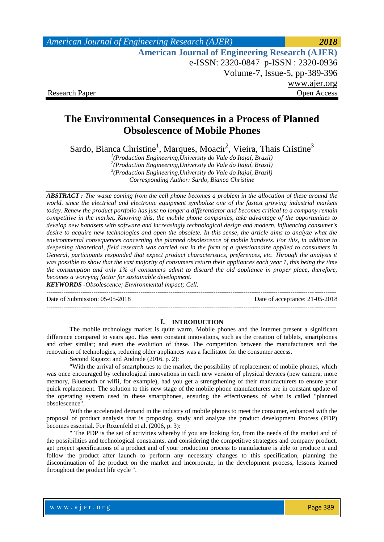| <b>American Journal of Engineering Research (AJER)</b> | 2018         |
|--------------------------------------------------------|--------------|
| <b>American Journal of Engineering Research (AJER)</b> |              |
| e-ISSN: 2320-0847 p-ISSN: 2320-0936                    |              |
| Volume-7, Issue-5, pp-389-396                          |              |
|                                                        | www.ajer.org |
| <b>Research Paper</b>                                  | Open Access  |

# **The Environmental Consequences in a Process of Planned Obsolescence of Mobile Phones**

Sardo, Bianca Christine<sup>1</sup>, Marques, Moacir<sup>2</sup>, Vieira, Thais Cristine<sup>3</sup>

*1 (Production Engineering,University do Vale do Itajaí, Brazil) 2 (Production Engineering,University do Vale do Itajaí, Brazil) 3 (Production Engineering,University do Vale do Itajaí, Brazil)*

*Corresponding Author: Sardo, Bianca Christine*

*ABSTRACT : The waste coming from the cell phone becomes a problem in the allocation of these around the world, since the electrical and electronic equipment symbolize one of the fastest growing industrial markets today. Renew the product portfolio has just no longer a differentiator and becomes critical to a company remain competitive in the market. Knowing this, the mobile phone companies, take advantage of the opportunities to develop new handsets with software and increasingly technological design and modern, influencing consumer's desire to acquire new technologies and open the obsolete. In this sense, the article aims to analyze what the environmental consequences concerning the planned obsolescence of mobile handsets. For this, in addition to deepening theoretical, field research was carried out in the form of a questionnaire applied to consumers in General, participants responded that expect product characteristics, preferences, etc. Through the analysis it was possible to show that the vast majority of consumers return their appliances each year 1, this being the time the consumption and only 1% of consumers admit to discard the old appliance in proper place, therefore, becomes a worrying factor for sustainable development.*

*KEYWORDS -Obsolescence; Environmental impact; Cell.*

Date of Submission: 05-05-2018 Date of acceptance: 21-05-2018

#### **I. INTRODUCTION**

---------------------------------------------------------------------------------------------------------------------------------------

---------------------------------------------------------------------------------------------------------------------------------------

The mobile technology market is quite warm. Mobile phones and the internet present a significant difference compared to years ago. Has seen constant innovations, such as the creation of tablets, smartphones and other similar; and even the evolution of these. The competition between the manufacturers and the renovation of technologies, reducing older appliances was a facilitator for the consumer access.

Second Ragazzi and Andrade (2016, p. 2):

"With the arrival of smartphones to the market, the possibility of replacement of mobile phones, which was once encouraged by technological innovations in each new version of physical devices (new camera, more memory, Bluetooth or wifii, for example), had you get a strengthening of their manufacturers to ensure your quick replacement. The solution to this new stage of the mobile phone manufacturers are in constant update of the operating system used in these smartphones, ensuring the effectiveness of what is called "planned obsolescence".

With the accelerated demand in the industry of mobile phones to meet the consumer, enhanced with the proposal of product analysis that is proposing, study and analyze the product development Process (PDP) becomes essential. For Rozenfeld et al. (2006, p. 3):

" The PDP is the set of activities whereby if you are looking for, from the needs of the market and of the possibilities and technological constraints, and considering the competitive strategies and company product, get project specifications of a product and of your production process to manufacture is able to produce it and follow the product after launch to perform any necessary changes to this specification, planning the discontinuation of the product on the market and incorporate, in the development process, lessons learned throughout the product life cycle ".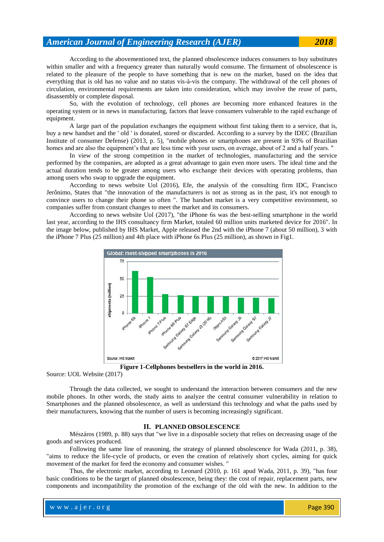According to the abovementioned text, the planned obsolescence induces consumers to buy substitutes within smaller and with a frequency greater than naturally would consume. The firmament of obsolescence is related to the pleasure of the people to have something that is new on the market, based on the idea that

everything that is old has no value and no status vis-à-vis the company. The withdrawal of the cell phones of circulation, environmental requirements are taken into consideration, which may involve the reuse of parts, disassembly or complete disposal.

So, with the evolution of technology, cell phones are becoming more enhanced features in the operating system or in news in manufacturing, factors that leave consumers vulnerable to the rapid exchange of equipment.

A large part of the population exchanges the equipment without first taking them to a service, that is, buy a new handset and the ' old ' is donated, stored or discarded. According to a survey by the IDEC (Brazilian Institute of consumer Defense) (2013, p. 5), "mobile phones or smartphones are present in 93% of Brazilian homes and are also the equipment's that are less time with your users, on average, about of 2 and a half years. "

In view of the strong competition in the market of technologies, manufacturing and the service performed by the companies, are adopted as a great advantage to gain even more users. The ideal time and the actual duration tends to be greater among users who exchange their devices with operating problems, than among users who swap to upgrade the equipment.

According to news website Uol (2016), Efe, the analysis of the consulting firm IDC, Francisco Jerônimo, States that "the innovation of the manufacturers is not as strong as in the past, it's not enough to convince users to change their phone so often ". The handset market is a very competitive environment, so companies suffer from constant changes to meet the market and its consumers.

According to news website Uol (2017), "the iPhone 6s was the best-selling smartphone in the world last year, according to the IHS consultancy firm Market, totaled 60 million units marketed device for 2016". In the image below, published by IHS Market, Apple released the 2nd with the iPhone 7 (about 50 million), 3 with the iPhone 7 Plus (25 million) and 4th place with iPhone 6s Plus (25 million), as shown in Fig1.



**Figure 1-Cellphones bestsellers in the world in 2016.**

Source: UOL Website (2017)

Through the data collected, we sought to understand the interaction between consumers and the new mobile phones. In other words, the study aims to analyze the central consumer vulnerability in relation to Smartphones and the planned obsolescence, as well as understand this technology and what the paths used by their manufacturers, knowing that the number of users is becoming increasingly significant.

## **II. PLANNED OBSOLESCENCE**

Mészáros (1989, p. 88) says that "we live in a disposable society that relies on decreasing usage of the goods and services produced.

Following the same line of reasoning, the strategy of planned obsolescence for Wada (2011, p. 38), "aims to reduce the life-cycle of products, or even the creation of relatively short cycles, aiming for quick movement of the market for feed the economy and consumer wishes. "

Thus, the electronic market, according to Leonard (2010, p. 161 apud Wada, 2011, p. 39), "has four basic conditions to be the target of planned obsolescence, being they: the cost of repair, replacement parts, new components and incompatibility the promotion of the exchange of the old with the new. In addition to the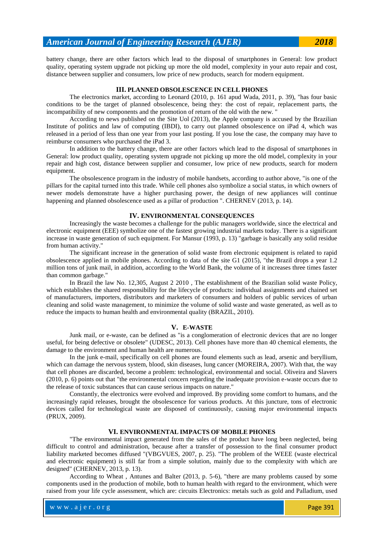battery change, there are other factors which lead to the disposal of smartphones in General: low product quality, operating system upgrade not picking up more the old model, complexity in your auto repair and cost, distance between supplier and consumers, low price of new products, search for modern equipment.

## **III. PLANNED OBSOLESCENCE IN CELL PHONES**

The electronics market, according to Leonard (2010, p. 161 apud Wada, 2011, p. 39), "has four basic conditions to be the target of planned obsolescence, being they: the cost of repair, replacement parts, the incompatibility of new components and the promotion of return of the old with the new. "

According to news published on the Site Uol (2013), the Apple company is accused by the Brazilian Institute of politics and law of computing (IBDI), to carry out planned obsolescence on iPad 4, which was released in a period of less than one year from your last posting. If you lose the case, the company may have to reimburse consumers who purchased the iPad 3.

In addition to the battery change, there are other factors which lead to the disposal of smartphones in General: low product quality, operating system upgrade not picking up more the old model, complexity in your repair and high cost, distance between supplier and consumer, low price of new products, search for modern equipment.

The obsolescence program in the industry of mobile handsets, according to author above, "is one of the pillars for the capital turned into this trade. While cell phones also symbolize a social status, in which owners of newer models demonstrate have a higher purchasing power, the design of new appliances will continue happening and planned obsolescence used as a pillar of production ". CHERNEV (2013, p. 14).

#### **IV. ENVIRONMENTAL CONSEQUENCES**

Increasingly the waste becomes a challenge for the public managers worldwide, since the electrical and electronic equipment (EEE) symbolize one of the fastest growing industrial markets today. There is a significant increase in waste generation of such equipment. For Mansur (1993, p. 13) "garbage is basically any solid residue from human activity."

The significant increase in the generation of solid waste from electronic equipment is related to rapid obsolescence applied in mobile phones. According to data of the site G1 (2015), "the Brazil drops a year 1.2 million tons of junk mail, in addition, according to the World Bank, the volume of it increases three times faster than common garbage."

In Brazil the [law No. 12,305, August 2 2010 ,](https://www.microsofttranslator.com/bv.aspx?from=pt&to=en&a=http%3A%2F%2Flegislacao.planalto.gov.br%2Flegisla%2Flegislacao.nsf%2FViw_Identificacao%2Flei%252012.305-2010%3FOpenDocument) The establishment of the Brazilian solid waste Policy, which establishes the shared responsibility for the lifecycle of products: individual assignments and chained set of manufacturers, importers, distributors and marketers of consumers and holders of public services of urban cleaning and solid waste management, to minimize the volume of solid waste and waste generated, as well as to reduce the impacts to human health and environmental quality (BRAZIL, 2010).

### **V. E-WASTE**

Junk mail, or e-waste, can be defined as "is a conglomeration of electronic devices that are no longer useful, for being defective or obsolete" (UDESC, 2013). Cell phones have more than 40 chemical elements, the damage to the environment and human health are numerous.

In the junk e-mail, specifically on cell phones are found elements such as lead, arsenic and beryllium, which can damage the nervous system, blood, skin diseases, lung cancer (MOREIRA, 2007). With that, the way that cell phones are discarded, become a problem: technological, environmental and social. Oliveira and Slavers (2010, p. 6) points out that "the environmental concern regarding the inadequate provision e-waste occurs due to the release of toxic substances that can cause serious impacts on nature."

Constantly, the electronics were evolved and improved. By providing some comfort to humans, and the increasingly rapid releases, brought the obsolescence for various products. At this juncture, tons of electronic devices called for technological waste are disposed of continuously, causing major environmental impacts (PRUX, 2009).

#### **VI. ENVIRONMENTAL IMPACTS OF MOBILE PHONES**

"The environmental impact generated from the sales of the product have long been neglected, being difficult to control and administration, because after a transfer of possession to the final consumer product liability marketed becomes diffused "(VBGVUES, 2007, p. 25). "The problem of the WEEE (waste electrical and electronic equipment) is still far from a simple solution, mainly due to the complexity with which are designed" (CHERNEV, 2013, p. 13).

According to Wheat , Antunes and Balter (2013, p. 5-6), "there are many problems caused by some components used in the production of mobile, both to human health with regard to the environment, which were raised from your life cycle assessment, which are: circuits Electronics: metals such as gold and Palladium, used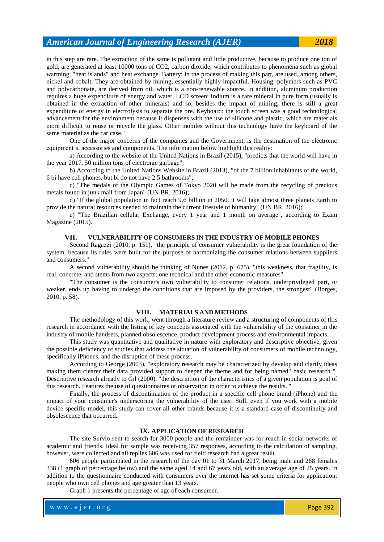in this step are rare. The extraction of the same is pollutant and little productive, because to produce one ton of gold, are generated at least 10000 tons of CO2, carbon dioxide, which contributes to phenomena such as global warming, "heat islands" and heat exchange. Battery: in the process of making this part, are used, among others, nickel and cobalt. They are obtained by mining, essentially highly impactful. Housing: polymers such as PVC and polycarbonate, are derived from oil, which is a non-renewable source. In addition, aluminum production requires a huge expenditure of energy and water. LCD screen: Indium is a rare mineral in pure form (usually is obtained in the extraction of other minerals) and so, besides the impact of mining, there is still a great expenditure of energy in electrolysis to separate the ore. Keyboard: the touch screen was a good technological advancement for the environment because it dispenses with the use of silicone and plastic, which are materials more difficult to reuse or recycle the glass. Other mobiles without this technology have the keyboard of the same material as the car case. "

One of the major concerns of the companies and the Government, is the destination of the electronic equipment's, accessories and components. The information below highlight this reality:

a) According to the website of the United Nations in Brazil (2015), "predicts that the world will have in the year 2017, 50 million tons of electronic garbage";

b) According to the United Nations Website in Brazil (2013), "of the 7 billion inhabitants of the world, 6 bi have cell phones, but bi do not have 2.5 bathrooms";

c) "The medals of the Olympic Games of Tokyo 2020 will be made from the recycling of precious metals found in junk mail from Japan" (UN BR, 2016);

d) "If the global population in fact reach 9.6 billion in 2050, it will take almost three planets Earth to provide the natural resources needed to maintain the current lifestyle of humanity" (UN BR, 2016);

e) "The Brazilian cellular Exchange, every 1 year and 1 month on average", according to Exam Magazine (2015).

## **VII. VULNERABILITY OF CONSUMERS IN THE INDUSTRY OF MOBILE PHONES**

Second Ragazzi (2010, p. 151), "the principle of consumer vulnerability is the great foundation of the system, because its rules were built for the purpose of harmonizing the consumer relations between suppliers and consumers."

A second vulnerability should be thinking of Nunes (2012, p. 675), "this weakness, that fragility, is real, concrete, and stems from two aspects: one technical and the other economic measures".

"The consumer is the consumer's own vulnerability to consumer relations, underprivileged part, or weaker, ends up having to undergo the conditions that are imposed by the providers, the strongest" (Borges, 2010, p. 58).

#### **VIII. MATERIALS AND METHODS**

The methodology of this work, went through a literature review and a structuring of components of this research in accordance with the listing of key concepts associated with the vulnerability of the consumer in the industry of mobile handsets, planned obsolescence, product development process and environmental impacts.

This study was quantitative and qualitative in nature with exploratory and descriptive objective, given the possible deficiency of studies that address the situation of vulnerability of consumers of mobile technology, specifically iPhones, and the disruption of these process.

According to George (2003), "exploratory research may be characterized by develop and clarify ideas making them clearer their data provided support to deepen the theme and for being named" basic research ". Descriptive research already to Gil (2000), "the description of the characteristics of a given population is goal of this research. Features the use of questionnaires or observation in order to achieve the results. "

Finally, the process of discontinuation of the product in a specific cell phone brand (iPhone) and the impact of your consumer's underscoring the vulnerability of the user. Still, even if you work with a mobile device specific model, this study can cover all other brands because it is a standard case of discontinuity and obsolescence that occurred.

#### **IX. APPLICATION OF RESEARCH**

The site Survio sent to search for 3000 people and the remainder was for reach in social networks of academic and friends. Ideal for sample was receiving 357 responses, according to the calculation of sampling, however, were collected and all replies 606 was used for field research had a great result.

606 people participated in the research of the day 01 to 31 March 2017, being male and 268 females 338 (1 graph of percentage below) and the same aged 14 and 67 years old, with an average age of 25 years. In addition to the questionnaire conducted with consumers over the internet has set some criteria for application: people who own cell phones and age greater than 13 years.

Graph 1 presents the percentage of age of each consumer.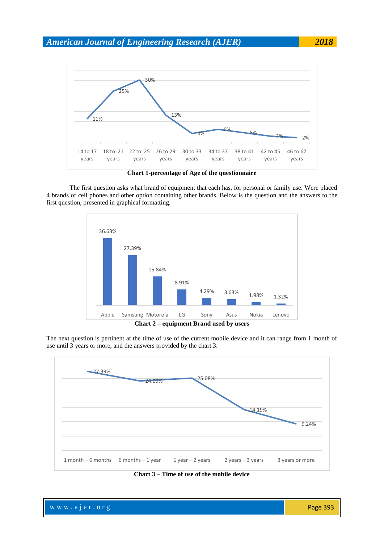

**Chart 1-percentage of Age of the questionnaire**

The first question asks what brand of equipment that each has, for personal or family use. Were placed 4 brands of cell phones and other option containing other brands. Below is the question and the answers to the first question, presented in graphical formatting.



The next question is pertinent at the time of use of the current mobile device and it can range from 1 month of use until 3 years or more, and the answers provided by the chart 3.



**Chart 3 – Time of use of the mobile device**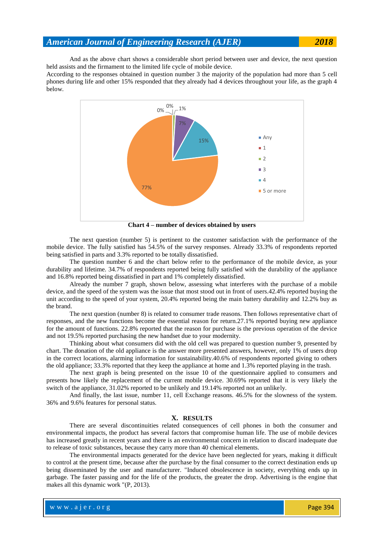And as the above chart shows a considerable short period between user and device, the next question held assists and the firmament to the limited life cycle of mobile device.

According to the responses obtained in question number 3 the majority of the population had more than 5 cell phones during life and other 15% responded that they already had 4 devices throughout your life, as the graph 4 below.



**Chart 4 – number of devices obtained by users**

The next question (number 5) is pertinent to the customer satisfaction with the performance of the mobile device. The fully satisfied has 54.5% of the survey responses. Already 33.3% of respondents reported being satisfied in parts and 3.3% reported to be totally dissatisfied.

The question number 6 and the chart below refer to the performance of the mobile device, as your durability and lifetime. 34.7% of respondents reported being fully satisfied with the durability of the appliance and 16.8% reported being dissatisfied in part and 1% completely dissatisfied.

Already the number 7 graph, shown below, assessing what interferes with the purchase of a mobile device, and the speed of the system was the issue that most stood out in front of users.42.4% reported buying the unit according to the speed of your system, 20.4% reported being the main battery durability and 12.2% buy as the brand.

The next question (number 8) is related to consumer trade reasons. Then follows representative chart of responses, and the new functions become the essential reason for return.27.1% reported buying new appliance for the amount of functions. 22.8% reported that the reason for purchase is the previous operation of the device and not 19.5% reported purchasing the new handset due to your modernity.

Thinking about what consumers did with the old cell was prepared to question number 9, presented by chart. The donation of the old appliance is the answer more presented answers, however, only 1% of users drop in the correct locations, alarming information for sustainability.40.6% of respondents reported giving to others the old appliance; 33.3% reported that they keep the appliance at home and 1.3% reported playing in the trash.

The next graph is being presented on the issue 10 of the questionnaire applied to consumers and presents how likely the replacement of the current mobile device. 30.69% reported that it is very likely the switch of the appliance, 31.02% reported to be unlikely and 19.14% reported not an unlikely.

And finally, the last issue, number 11, cell Exchange reasons. 46.5% for the slowness of the system. 36% and 9.6% features for personal status.

### **X. RESULTS**

There are several discontinuities related consequences of cell phones in both the consumer and environmental impacts, the product has several factors that compromise human life. The use of mobile devices has increased greatly in recent years and there is an environmental concern in relation to discard inadequate due to release of toxic substances, because they carry more than 40 chemical elements.

The environmental impacts generated for the device have been neglected for years, making it difficult to control at the present time, because after the purchase by the final consumer to the correct destination ends up being disseminated by the user and manufacturer. "Induced obsolescence in society, everything ends up in garbage. The faster passing and for the life of the products, the greater the drop. Advertising is the engine that makes all this dynamic work "(P, 2013).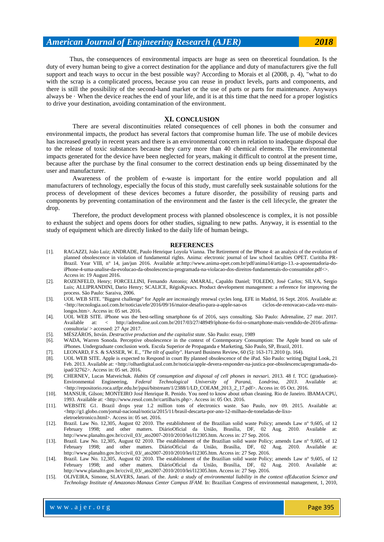Thus, the consequences of environmental impacts are huge as seen on theoretical foundation. Is the duty of every human being to give a correct destination for the appliance and duty of manufacturers give the full support and teach ways to occur in the best possible way? According to Morais et al (2008, p. 4), "what to do with the scrap is a complicated process, because you can reuse in product levels, parts and components, and there is still the possibility of the second-hand market or the use of parts or parts for maintenance. Anyways always be  $\cdot$  When the device reaches the end of your life, and it is at this time that the need for a proper logistics to drive your destination, avoiding contamination of the environment.

#### **XI. CONCLUSION**

There are several discontinuities related consequences of cell phones in both the consumer and environmental impacts, the product has several factors that compromise human life. The use of mobile devices has increased greatly in recent years and there is an environmental concern in relation to inadequate disposal due to the release of toxic substances because they carry more than 40 chemical elements. The environmental impacts generated for the device have been neglected for years, making it difficult to control at the present time, because after the purchase by the final consumer to the correct destination ends up being disseminated by the user and manufacturer.

Awareness of the problem of e-waste is important for the entire world population and all manufacturers of technology, especially the focus of this study, must carefully seek sustainable solutions for the process of development of these devices becomes a future disorder, the possibility of reusing parts and components by preventing contamination of the environment and the faster is the cell lifecycle, the greater the drop.

Therefore, the product development process with planned obsolescence is complex, it is not possible to exhaust the subject and opens doors for other studies, signaling to new paths. Anyway, it is essential to the study of equipment which are directly linked to the daily life of human beings.

#### **REFERENCES**

- [1]. RAGAZZI, João Luiz; ANDRADE, Paulo Henrique Loyola Vianna. The Retirement of the IPhone 4: an analysis of the evolution of planned obsolescence in violation of fundamental rights. Anima: electronic journal of law school faculties OPET. Curitiba PR-Brazil. Year VIII, n° 14, jan/jun 2016. Available a[t:http://www.anima-opet.com.br/pdf/anima14/artigo-13.-a-aposentadoria-do](https://www.microsofttranslator.com/bv.aspx?from=pt&to=en&a=http%3A%2F%2Fwww.anima-opet.com.br%2Fpdf%2Fanima14%2Fartigo-13.-a-aposentadoria-do-iphone-4-uma-analise-da-evolucao-da-obsolescencia-programada-na-violacao-dos-direitos-fundamentais-do-consumidor.pdf)[iPhone-4-uma-analise-da-evolucao-da-obsolescencia-programada-na-violacao-dos-direitos-fundamentais-do-consumidor.pdf<>](https://www.microsofttranslator.com/bv.aspx?from=pt&to=en&a=http%3A%2F%2Fwww.anima-opet.com.br%2Fpdf%2Fanima14%2Fartigo-13.-a-aposentadoria-do-iphone-4-uma-analise-da-evolucao-da-obsolescencia-programada-na-violacao-dos-direitos-fundamentais-do-consumidor.pdf). Access in: 19 August 2016.
- [2]. ROZENFELD, Henry; FORCELLINI, Fernando Antonio; AMARAL, Capaldo Daniel; TOLEDO, José Carlos; SILVA, Sergio Luis; ALLIPRANDINI, Dario Henry; SCALICE, RégisKpvacs. Product development management: a reference for improving the process. São Paulo: Saraiva, 2006.
- [3]. UOL WEB SITE. "Biggest challenge" for Apple are increasingly renewal cycles long. EFE in Madrid, 16 Sept. 2016. Available at:  $\langle$ http://tecnologia.uol.com.br/noticias/efe/2016/09/16/maior-desafio-para-a-apple-sao-os ciclos-de-renovacao-cada-vez-maislongos.htm>. Access in: 05 set. 2016.
- [4]. UOL WEB SITE. iPhone was the best-selling smartphone 6s of 2016, says consulting. São Paulo: Adrenaline, 27 mar. 2017. Available at: < http://adrenaline.uol.com.br/2017/03/27/48949/iphone-6s-foi-o-smartphone-mais-vendido-de-2016-afirmaconsultoria/ > accessed: 27 Apr 2017.
- [5]. MÉSZÁROS, István. *Destructive production and the capitalist state*. São Paulo: essay, 1989
- [6]. WADA, Warren Sonoda. Perceptive obsolescence in the context of Contemporary Consumption: The Apple brand on sale of iPhones. Undergraduate conclusion work. Escola Superior de Propaganda e Marketing, São Paulo, SP, Brazil, 2011.
- [7]. LEONARD, F.S. & SASSER, W. E., *"The tilt of quality"*. Harvard Business Review, 60 (5): 163-171.2010 (p. 164).
- [8]. UOL WEB SITE. Apple is expected to Respond in court By planned obsolescence of the iPad. São Paulo: writing Digital Look, 21 Feb. 2013. Available at: <http://olhardigital.uol.com.br/noticia/apple-devera-responder-na-justica-por-obsolescenciaprogramada-doipad/32762>. Access in: 05 set. 2016.
- [9]. CHERNEV, Lucas Matveichuk. *Habits Of consumption and disposal of cell phones in navsar*i. 2013. 48 f. TCC (graduation)- Environmental Engineering, *Federal Technological University of Paraná, Londrina, 2013*. Available at: <http://repositorio.roca.utfpr.edu.br/jspui/bitstream/1/2388/1/LD\_COEAM\_2013\_2\_17.pdf>. Access in: 05 Oct. 2016.
- [10]. MANSUR, Gilson; MONTEIRO José Henrique R. Penido. You need to know about urban cleaning. Rio de Janeiro. IBAMA/CPU, 1993. Available at: <http://www.resol.com.br/cartilha/rs.php>. Access in: 05 Oct. 2016.
- [11]. WEBSITE G1. Brazil drops year 1.2 million tons of electronics waste. Sao Paulo, nov 09. 2015. Available at:  $\langle$ http://g1.globo.com/jornal-nacional/noticia/2015/11/brasil-descarta-por-ano-12-milhao-de-toneladas-de-lixoeletroeletronico.html>. Access in: 05 set. 2016.
- [12]. Brazil. Law No. 12,305, August 02 2010. The establishment of the Brazilian solid waste Policy; amends Law nº 9,605, of 12 February 1998; and other matters. DiárioOficial da União, Brasília, DF, 02 Aug. 2010. Available at: http://www.planalto.gov.br/ccivil\_03/\_ato2007-2010/2010/lei/l12305.htm. Access in: 27 Sep. 2016.
- [13]. Brazil. Law No. 12,305, August 02 2010. The establishment of the Brazilian solid waste Policy; amends Law nº 9,605, of 12 February 1998; and other matters. DiárioOficial da União, Brasília, DF, 02 Aug. 2010. Available at: http://www.planalto.gov.br/ccivil\_03/\_ato2007-2010/2010/lei/l12305.htm. Access in: 27 Sep. 2016.
- [14]. Brazil. Law No. 12,305, August 02 2010. The establishment of the Brazilian solid waste Policy; amends Law nº 9,605, of 12 February 1998; and other matters. DiárioOficial da União, Brasília, DF, 02 Aug. 2010. Available at: http://www.planalto.gov.br/ccivil\_03/\_ato2007-2010/2010/lei/l12305.htm. Access in: 27 Sep. 2016.
- [15]. OLIVEIRA, Simone, SLAVERS, Janari. of the. *Junk: a study of environmental liability in the context ofEducation Science and Technology Institute of Amazonas-Manaus Center Campus IFAM.* In: Brazilian Congress of environmental management, 1, 2010,